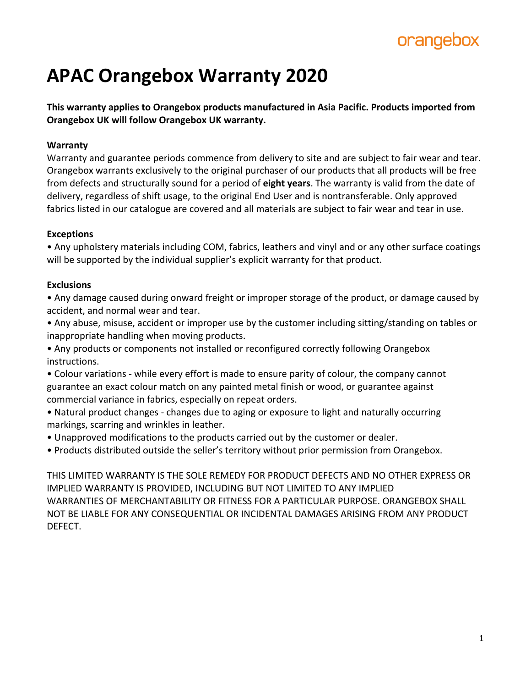## orangebox

# **APAC Orangebox Warranty 2020**

**This warranty applies to Orangebox products manufactured in Asia Pacific. Products imported from Orangebox UK will follow Orangebox UK warranty.** 

## **Warranty**

Warranty and guarantee periods commence from delivery to site and are subject to fair wear and tear. Orangebox warrants exclusively to the original purchaser of our products that all products will be free from defects and structurally sound for a period of **eight years**. The warranty is valid from the date of delivery, regardless of shift usage, to the original End User and is nontransferable. Only approved fabrics listed in our catalogue are covered and all materials are subject to fair wear and tear in use.

## **Exceptions**

• Any upholstery materials including COM, fabrics, leathers and vinyl and or any other surface coatings will be supported by the individual supplier's explicit warranty for that product.

## **Exclusions**

• Any damage caused during onward freight or improper storage of the product, or damage caused by accident, and normal wear and tear.

• Any abuse, misuse, accident or improper use by the customer including sitting/standing on tables or inappropriate handling when moving products.

• Any products or components not installed or reconfigured correctly following Orangebox instructions.

• Colour variations - while every effort is made to ensure parity of colour, the company cannot guarantee an exact colour match on any painted metal finish or wood, or guarantee against commercial variance in fabrics, especially on repeat orders.

• Natural product changes - changes due to aging or exposure to light and naturally occurring markings, scarring and wrinkles in leather.

• Unapproved modifications to the products carried out by the customer or dealer.

• Products distributed outside the seller's territory without prior permission from Orangebox.

THIS LIMITED WARRANTY IS THE SOLE REMEDY FOR PRODUCT DEFECTS AND NO OTHER EXPRESS OR IMPLIED WARRANTY IS PROVIDED, INCLUDING BUT NOT LIMITED TO ANY IMPLIED WARRANTIES OF MERCHANTABILITY OR FITNESS FOR A PARTICULAR PURPOSE. ORANGEBOX SHALL NOT BE LIABLE FOR ANY CONSEQUENTIAL OR INCIDENTAL DAMAGES ARISING FROM ANY PRODUCT DEFECT.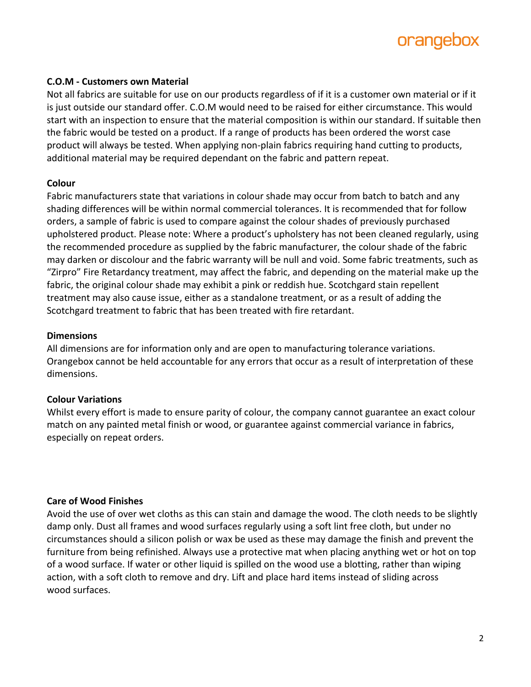

#### **C.O.M - Customers own Material**

Not all fabrics are suitable for use on our products regardless of if it is a customer own material or if it is just outside our standard offer. C.O.M would need to be raised for either circumstance. This would start with an inspection to ensure that the material composition is within our standard. If suitable then the fabric would be tested on a product. If a range of products has been ordered the worst case product will always be tested. When applying non-plain fabrics requiring hand cutting to products, additional material may be required dependant on the fabric and pattern repeat.

#### **Colour**

Fabric manufacturers state that variations in colour shade may occur from batch to batch and any shading differences will be within normal commercial tolerances. It is recommended that for follow orders, a sample of fabric is used to compare against the colour shades of previously purchased upholstered product. Please note: Where a product's upholstery has not been cleaned regularly, using the recommended procedure as supplied by the fabric manufacturer, the colour shade of the fabric may darken or discolour and the fabric warranty will be null and void. Some fabric treatments, such as "Zirpro" Fire Retardancy treatment, may affect the fabric, and depending on the material make up the fabric, the original colour shade may exhibit a pink or reddish hue. Scotchgard stain repellent treatment may also cause issue, either as a standalone treatment, or as a result of adding the Scotchgard treatment to fabric that has been treated with fire retardant.

#### **Dimensions**

All dimensions are for information only and are open to manufacturing tolerance variations. Orangebox cannot be held accountable for any errors that occur as a result of interpretation of these dimensions.

#### **Colour Variations**

Whilst every effort is made to ensure parity of colour, the company cannot guarantee an exact colour match on any painted metal finish or wood, or guarantee against commercial variance in fabrics, especially on repeat orders.

#### **Care of Wood Finishes**

Avoid the use of over wet cloths as this can stain and damage the wood. The cloth needs to be slightly damp only. Dust all frames and wood surfaces regularly using a soft lint free cloth, but under no circumstances should a silicon polish or wax be used as these may damage the finish and prevent the furniture from being refinished. Always use a protective mat when placing anything wet or hot on top of a wood surface. If water or other liquid is spilled on the wood use a blotting, rather than wiping action, with a soft cloth to remove and dry. Lift and place hard items instead of sliding across wood surfaces.